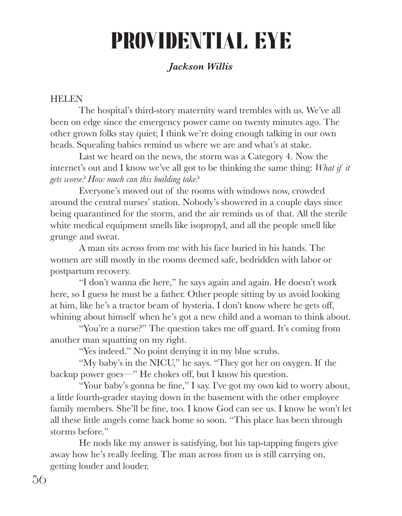# PROVIDENTIAL EYE

## *Jackson Willis*

## HELEN

The hospital's third-story maternity ward trembles with us. We've all been on edge since the emergency power came on twenty minutes ago. The other grown folks stay quiet; I think we're doing enough talking in our own heads. Squealing babies remind us where we are and what's at stake.

Last we heard on the news, the storm was a Category 4. Now the internet's out and I know we've all got to be thinking the same thing: *What if it gets worse? How much can this building take?* 

Everyone's moved out of the rooms with windows now, crowded around the central nurses' station. Nobody's showered in a couple days since being quarantined for the storm, and the air reminds us of that. All the sterile white medical equipment smells like isopropyl, and all the people smell like grunge and sweat.

 A man sits across from me with his face buried in his hands. The women are still mostly in the rooms deemed safe, bedridden with labor or postpartum recovery.

 "I don't wanna die here," he says again and again. He doesn't work here, so I guess he must be a father. Other people sitting by us avoid looking at him, like he's a tractor beam of hysteria. I don't know where he gets off, whining about himself when he's got a new child and a woman to think about.

"You're a nurse?" The question takes me off guard. It's coming from another man squatting on my right.

"Yes indeed." No point denying it in my blue scrubs.

 "My baby's in the NICU," he says. "They got her on oxygen. If the backup power goes—" He chokes off, but I know his question.

"Your baby's gonna be fine," I say. I've got my own kid to worry about, a little fourth-grader staying down in the basement with the other employee family members. She'll be fine, too. I know God can see us. I know he won't let all these little angels come back home so soon. "This place has been through storms before."

He nods like my answer is satisfying, but his tap-tapping fingers give away how he's really feeling. The man across from us is still carrying on, getting louder and louder.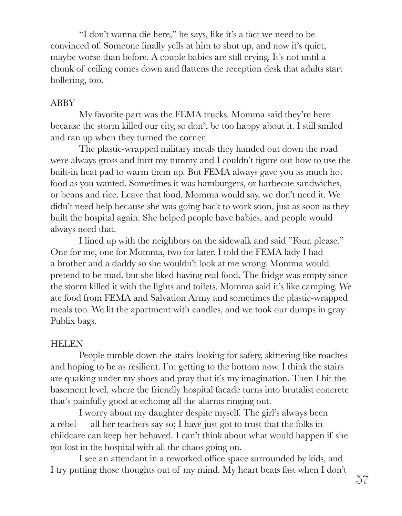"I don't wanna die here," he says, like it's a fact we need to be convinced of. Someone finally yells at him to shut up, and now it's quiet, maybe worse than before. A couple babies are still crying. It's not until a chunk of ceiling comes down and flattens the reception desk that adults start hollering, too.

#### ABBY

 My favorite part was the FEMA trucks. Momma said they're here because the storm killed our city, so don't be too happy about it. I still smiled and ran up when they turned the corner.

The plastic-wrapped military meals they handed out down the road were always gross and hurt my tummy and  $I$  couldn't figure out how to use the built-in heat pad to warm them up. But FEMA always gave you as much hot food as you wanted. Sometimes it was hamburgers, or barbecue sandwiches, or beans and rice. Leave that food, Momma would say, we don't need it. We didn't need help because she was going back to work soon, just as soon as they built the hospital again. She helped people have babies, and people would always need that.

 I lined up with the neighbors on the sidewalk and said "Four, please." One for me, one for Momma, two for later. I told the FEMA lady I had a brother and a daddy so she wouldn't look at me wrong. Momma would pretend to be mad, but she liked having real food. The fridge was empty since the storm killed it with the lights and toilets. Momma said it's like camping. We ate food from FEMA and Salvation Army and sometimes the plastic-wrapped meals too. We lit the apartment with candles, and we took our dumps in gray Publix bags.

#### HELEN

 People tumble down the stairs looking for safety, skittering like roaches and hoping to be as resilient. I'm getting to the bottom now. I think the stairs are quaking under my shoes and pray that it's my imagination. Then I hit the basement level, where the friendly hospital facade turns into brutalist concrete that's painfully good at echoing all the alarms ringing out.

I worry about my daughter despite myself. The girl's always been a rebel — all her teachers say so; I have just got to trust that the folks in childcare can keep her behaved. I can't think about what would happen if she got lost in the hospital with all the chaos going on.

I see an attendant in a reworked office space surrounded by kids, and I try putting those thoughts out of my mind. My heart beats fast when I don't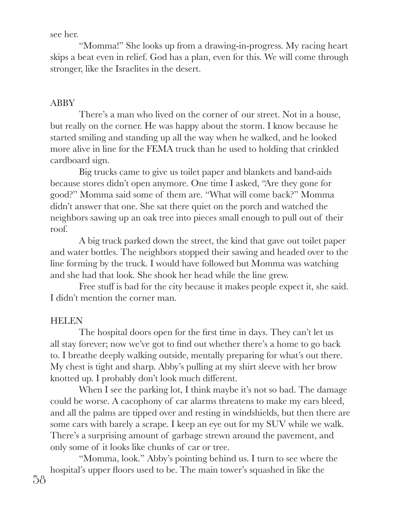see her.

"Momma!" She looks up from a drawing-in-progress. My racing heart skips a beat even in relief. God has a plan, even for this. We will come through stronger, like the Israelites in the desert.

## ABBY

 There's a man who lived on the corner of our street. Not in a house, but really on the corner. He was happy about the storm. I know because he started smiling and standing up all the way when he walked, and he looked more alive in line for the FEMA truck than he used to holding that crinkled cardboard sign.

 Big trucks came to give us toilet paper and blankets and band-aids because stores didn't open anymore. One time I asked, "Are they gone for good?" Momma said some of them are. "What will come back?" Momma didn't answer that one. She sat there quiet on the porch and watched the neighbors sawing up an oak tree into pieces small enough to pull out of their roof.

 A big truck parked down the street, the kind that gave out toilet paper and water bottles. The neighbors stopped their sawing and headed over to the line forming by the truck. I would have followed but Momma was watching and she had that look. She shook her head while the line grew.

Free stuff is bad for the city because it makes people expect it, she said. I didn't mention the corner man.

## **HELEN**

The hospital doors open for the first time in days. They can't let us all stay forever; now we've got to find out whether there's a home to go back to. I breathe deeply walking outside, mentally preparing for what's out there. My chest is tight and sharp. Abby's pulling at my shirt sleeve with her brow knotted up. I probably don't look much different.

When I see the parking lot, I think maybe it's not so bad. The damage could be worse. A cacophony of car alarms threatens to make my ears bleed, and all the palms are tipped over and resting in windshields, but then there are some cars with barely a scrape. I keep an eye out for my SUV while we walk. There's a surprising amount of garbage strewn around the pavement, and only some of it looks like chunks of car or tree.

 "Momma, look." Abby's pointing behind us. I turn to see where the hospital's upper floors used to be. The main tower's squashed in like the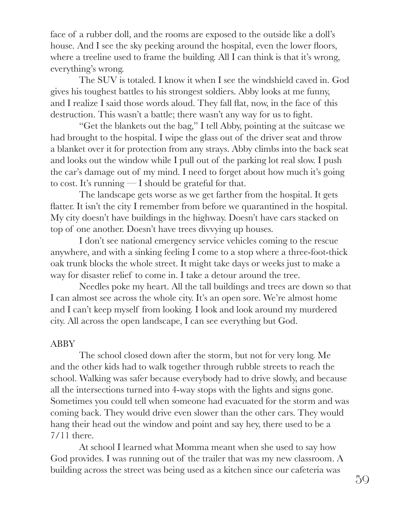face of a rubber doll, and the rooms are exposed to the outside like a doll's house. And I see the sky peeking around the hospital, even the lower floors, where a treeline used to frame the building. All I can think is that it's wrong, everything's wrong.

 The SUV is totaled. I know it when I see the windshield caved in. God gives his toughest battles to his strongest soldiers. Abby looks at me funny, and I realize I said those words aloud. They fall flat, now, in the face of this destruction. This wasn't a battle; there wasn't any way for us to fight.

 "Get the blankets out the bag," I tell Abby, pointing at the suitcase we had brought to the hospital. I wipe the glass out of the driver seat and throw a blanket over it for protection from any strays. Abby climbs into the back seat and looks out the window while I pull out of the parking lot real slow. I push the car's damage out of my mind. I need to forget about how much it's going to cost. It's running  $\frac{d}{dx}$  is hould be grateful for that.

 The landscape gets worse as we get farther from the hospital. It gets flatter. It isn't the city I remember from before we quarantined in the hospital. My city doesn't have buildings in the highway. Doesn't have cars stacked on top of one another. Doesn't have trees divvying up houses.

I don't see national emergency service vehicles coming to the rescue anywhere, and with a sinking feeling I come to a stop where a three-foot-thick oak trunk blocks the whole street. It might take days or weeks just to make a way for disaster relief to come in. I take a detour around the tree.

 Needles poke my heart. All the tall buildings and trees are down so that I can almost see across the whole city. It's an open sore. We're almost home and I can't keep myself from looking. I look and look around my murdered city. All across the open landscape, I can see everything but God.

### ABBY

 The school closed down after the storm, but not for very long. Me and the other kids had to walk together through rubble streets to reach the school. Walking was safer because everybody had to drive slowly, and because all the intersections turned into 4-way stops with the lights and signs gone. Sometimes you could tell when someone had evacuated for the storm and was coming back. They would drive even slower than the other cars. They would hang their head out the window and point and say hey, there used to be a 7/11 there.

 At school I learned what Momma meant when she used to say how God provides. I was running out of the trailer that was my new classroom. A building across the street was being used as a kitchen since our cafeteria was